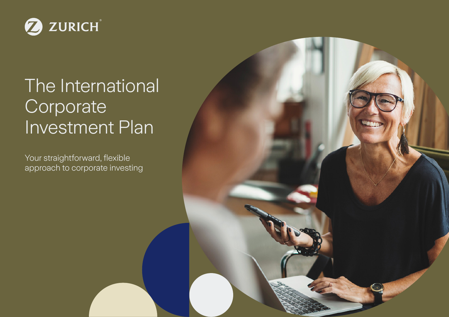

# The International **Corporate** Investment Plan

Your straightforward, flexible approach to corporate investing

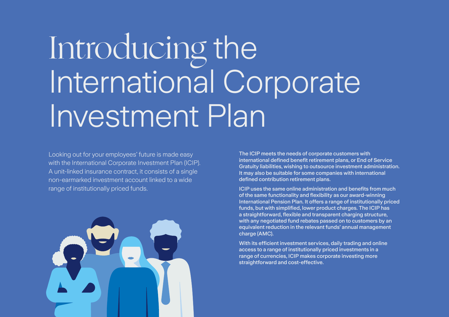# Introducing the International Corporate Investment Plan

Looking out for your employees' future is made easy with the International Corporate Investment Plan (ICIP). A unit-linked insurance contract, it consists of a single non-earmarked investment account linked to a wide range of institutionally priced funds.



The ICIP meets the needs of corporate customers with international defined benefit retirement plans, or End of Service Gratuity liabilities, wishing to outsource investment administration. It may also be suitable for some companies with international defined contribution retirement plans.

ICIP uses the same online administration and benefits from much of the same functionality and flexibility as our award-winning International Pension Plan. It offers a range of institutionally priced funds, but with simplified, lower product charges. The ICIP has a straightforward, flexible and transparent charging structure, with any negotiated fund rebates passed on to customers by an equivalent reduction in the relevant funds' annual management charge (AMC).

With its efficient investment services, daily trading and online access to a range of institutionally priced investments in a range of currencies, ICIP makes corporate investing more straightforward and cost-effective.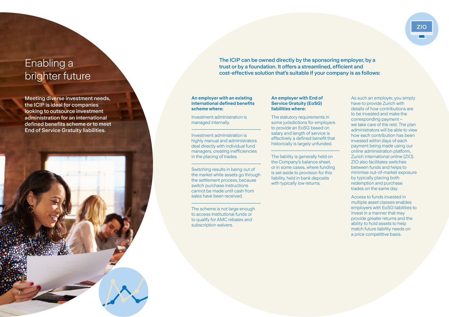# Enabling a brighter future

Meeting diverse investment needs, the ICIP is ideal for companies looking to outsource investment administration for an international defined benefits scheme or to meet End of Service Gratuity liabilities.



The ICIP can be owned directly by the sponsoring employer, by a trust or by a foundation. It offers a streamlined, efficient and cost-effective solution that's suitable if your company is as follows:

#### **An employer with an existing international defined benefits scheme where:**

Investment administration is managed internally.

Investment administration is highly manual and administrators deal directly with individual fund managers, creating inefficiencies in the placing of trades.

Switching results in being out of the market while assets go through the settlement process, because switch purchase instructions cannot be made until cash from sales have been received.

The scheme is not large enough to access institutional funds or to qualify for AMC rebates and subscription waivers.

#### **An employer with End of Service Gratuity (EoSG) liabilities where:**

The statutory requirements in some jurisdictions for employers to provide an EoSG based on salary and length of service is effectively a defined benefit that historically is largely unfunded.

The liability is generally held on the Company's balance sheet, or in some cases, where funding is set aside to provision for this liability, held in bank deposits with typically low returns.

As such an employer, you simply have to provide Zurich with details of how contributions are to be invested and make the corresponding payment – we take care of the rest. The plan administrators will be able to view how each contribution has been invested within days of each payment being made using our online administration platform, Zurich International online (ZIO). ZIO also facilitates switches between funds and helps to minimise out-of-market exposure by typically placing both redemption and purchase trades on the same day.

**ZIO**

Access to funds invested in multiple asset classes enables employers with EoSG liabilities to invest in a manner that may provide greater returns and the ability to hold assets to help match future liability needs on a price competitive basis.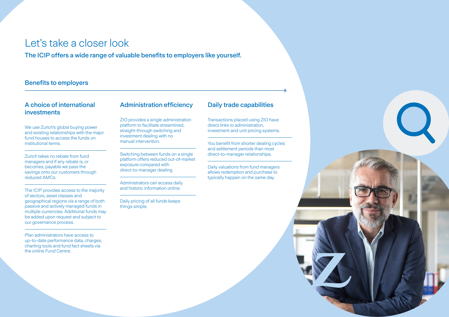## Let's take a closer look

The ICIP offers a wide range of valuable benefits to employers like yourself.

#### Benefits to employers

#### A choice of international investments

We use Zurich's global buying power and existing relationships with the major fund houses to access the funds on institutional terms.

Zurich takes no rebate from fund managers and if any rebate is, or becomes, payable we pass the savings onto our customers through reduced AMCs.

The ICIP provides access to the majority of sectors, asset classes and geographical regions via a range of both passive and actively managed funds in multiple currencies. Additional funds may be added upon request and subject to our governance process.

Plan administrators have access to up-to-date performance data, charges, charting tools and fund fact sheets via the online Fund Centre.

#### Administration efficiency

ZIO provides a single administration platform to facilitate streamlined, straight-through switching and investment dealing with no manual intervention.

Switching between funds on a single platform offers reduced out-of-market exposure compared with direct-to-manager dealing.

Administrators can access daily and historic information online.

Daily pricing of all funds keeps things simple.

#### Daily trade capabilities

Transactions placed using ZIO have direct links to administration, investment and unit pricing systems.

You benefit from shorter dealing cycles and settlement periods than most direct-to-manager relationships.

Daily valuations from fund managers allows redemption and purchase to typically happen on the same day.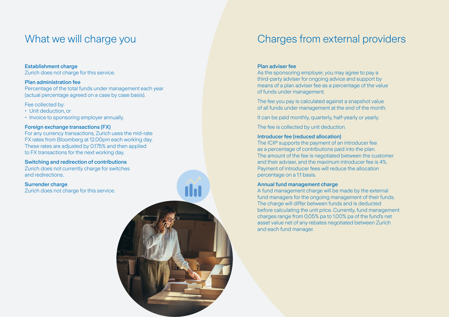#### Establishment charge

Zurich does not charge for this service.

#### Plan administration fee

Percentage of the total funds under management each year (actual percentage agreed on a case by case basis).

#### Fee collected by:

- Unit deduction, or
- Invoice to sponsoring employer annually.

#### Foreign exchange transactions (FX)

For any currency transactions, Zurich uses the mid-rate FX rates from Bloomberg at 12.00pm each working day. These rates are adjusted by 0.175% and then applied to FX transactions for the next working day.

#### Switching and redirection of contributions

Zurich does not currently charge for switches and redirections.

#### Surrender charge

Zurich does not charge for this service.



# What we will charge you **Charges from external providers**

#### Plan adviser fee

As the sponsoring employer, you may agree to pay a third-party adviser for ongoing advice and support by means of a plan adviser fee as a percentage of the value of funds under management.

The fee you pay is calculated against a snapshot value of all funds under management at the end of the month.

It can be paid monthly, quarterly, half-yearly or yearly.

The fee is collected by unit deduction.

#### Introducer fee (reduced allocation)

The ICIP supports the payment of an introducer fee as a percentage of contributions paid into the plan. The amount of the fee is negotiated between the customer and their adviser, and the maximum introducer fee is 4%. Payment of introducer fees will reduce the allocation percentage on a 1:1 basis.

#### Annual fund management charge

A fund management charge will be made by the external fund managers for the ongoing management of their funds. The charge will differ between funds and is deducted before calculating the unit price. Currently, fund management charges range from 0.05% pa to 1.00% pa of the fund's net asset value net of any rebates negotiated between Zurich and each fund manager.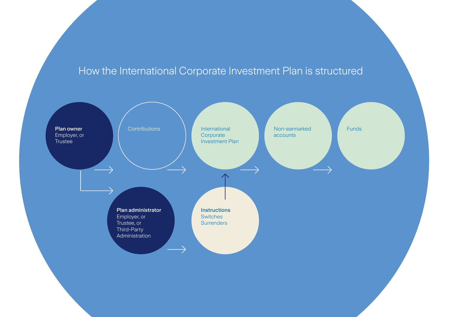# How the International Corporate Investment Plan is structured

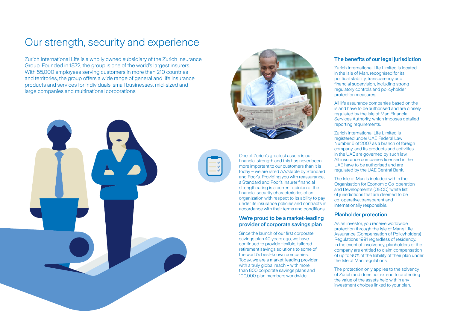# Our strength, security and experience

Zurich International Life is a wholly owned subsidiary of the Zurich Insurance Group. Founded in 1872, the group is one of the world's largest insurers. With 55,000 employees serving customers in more than 210 countries and territories, the group offers a wide range of general and life insurance products and services for individuals, small businesses, mid-sized and large companies and multinational corporations.





One of Zurich's greatest assets is our financial strength and this has never been more important to our customers than it is today – we are rated AA/stable by Standard and Poor's. Providing you with reassurance, a Standard and Poor's insurer financial strength rating is a current opinion of the financial security characteristics of an organization with respect to its ability to pay under its insurance policies and contracts in accordance with their terms and conditions.

#### We're proud to be a market-leading provider of corporate savings plan

Since the launch of our first corporate savings plan 40 years ago, we have continued to provide flexible, tailored retirement savings solutions to some of the world's best-known companies. Today, we are a market-leading provider with a truly global reach – with more than 800 corporate savings plans and 100,000 plan members worldwide.

#### The benefits of our legal jurisdiction

Zurich International Life Limited is located in the Isle of Man, recognised for its political stability, transparency and financial supervision, including strong regulatory controls and policyholder protection measures.

All life assurance companies based on the island have to be authorised and are closely regulated by the Isle of Man Financial Services Authority, which imposes detailed reporting requirements.

Zurich International Life Limited is registered under UAE Federal Law Number 6 of 2007 as a branch of foreign company, and its products and activities in the UAE are governed by such law. All insurance companies licensed in the UAE have to be authorised and are regulated by the UAE Central Bank.

The Isle of Man is included within the Organisation for Economic Co-operation and Development's (OECD) 'white list' of jurisdictions that are deemed to be co-operative, transparent and internationally responsible.

#### Planholder protection

As an investor, you receive worldwide protection through the Isle of Man's Life Assurance (Compensation of Policyholders) Regulations 1991 regardless of residency. In the event of insolvency, planholders of the company are entitled to claim compensation of up to 90% of the liability of their plan under the Isle of Man regulations.

The protection only applies to the solvency of Zurich and does not extend to protecting the value of the assets held within any investment choices linked to your plan.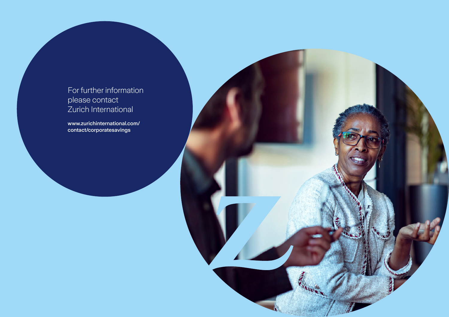### For further information please contact Zurich International

[www.zurichinternational.com/](https://www.zurichinternational.com/contact/corporatesavings) [contact/corporatesavings](https://www.zurichinternational.com/contact/corporatesavings)